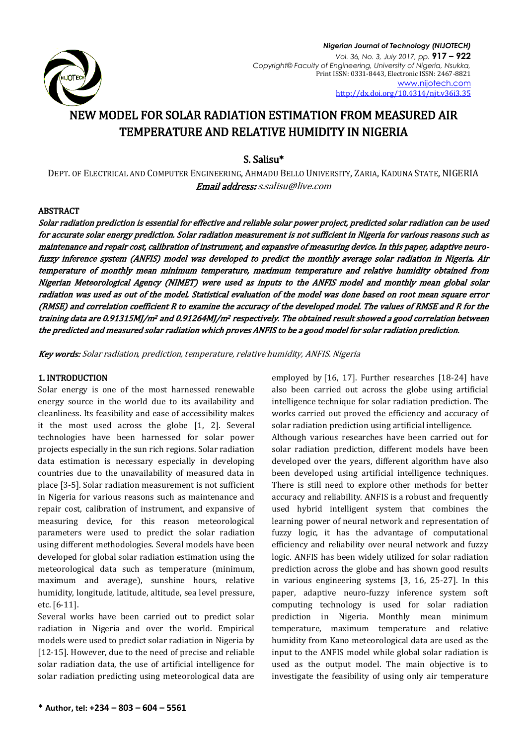

# NEW MODEL FOR SOLAR RADIATION ESTIMATION FROM MEASURED AIR TEMPERATURE AND RELATIVE HUMIDITY IN NIGERIA

S. Salisu\*

DEPT. OF ELECTRICAL AND COMPUTER ENGINEERING, AHMADU BELLO UNIVERSITY, ZARIA, KADUNA STATE, NIGERIA Email address[: s.salisu@live.com](mailto:s.salisu@live.com)

## ABSTRACT

Solar radiation prediction is essential for effective and reliable solar power project, predicted solar radiation can be used for accurate solar energy prediction. Solar radiation measurement is not sufficient in Nigeria for various reasons such as maintenance and repair cost, calibration of instrument, and expansive of measuring device. In this paper, adaptive neurofuzzy inference system (ANFIS) model was developed to predict the monthly average solar radiation in Nigeria. Air temperature of monthly mean minimum temperature, maximum temperature and relative humidity obtained from Nigerian Meteorological Agency (NIMET) were used as inputs to the ANFIS model and monthly mean global solar radiation was used as out of the model. Statistical evaluation of the model was done based on root mean square error (RMSE) and correlation coefficient R to examine the accuracy of the developed model. The values of RMSE and R for the training data are 0.91315MJ/m2 and 0.91264MJ/m2 respectively. The obtained result showed a good correlation between the predicted and measured solar radiation which proves ANFIS to be a good model for solar radiation prediction.

Key words: Solar radiation, prediction, temperature, relative humidity, ANFIS. Nigeria

## 1. INTRODUCTION

Solar energy is one of the most harnessed renewable energy source in the world due to its availability and cleanliness. Its feasibility and ease of accessibility makes it the most used across the globe [1, 2]. Several technologies have been harnessed for solar power projects especially in the sun rich regions. Solar radiation data estimation is necessary especially in developing countries due to the unavailability of measured data in place [3-5]. Solar radiation measurement is not sufficient in Nigeria for various reasons such as maintenance and repair cost, calibration of instrument, and expansive of measuring device, for this reason meteorological parameters were used to predict the solar radiation using different methodologies. Several models have been developed for global solar radiation estimation using the meteorological data such as temperature (minimum, maximum and average), sunshine hours, relative humidity, longitude, latitude, altitude, sea level pressure, etc. [6-11].

Several works have been carried out to predict solar radiation in Nigeria and over the world. Empirical models were used to predict solar radiation in Nigeria by [12-15]. However, due to the need of precise and reliable solar radiation data, the use of artificial intelligence for solar radiation predicting using meteorological data are

employed by [16, 17]. Further researches [18-24] have also been carried out across the globe using artificial intelligence technique for solar radiation prediction. The works carried out proved the efficiency and accuracy of solar radiation prediction using artificial intelligence. Although various researches have been carried out for solar radiation prediction, different models have been developed over the years, different algorithm have also been developed using artificial intelligence techniques. There is still need to explore other methods for better accuracy and reliability. ANFIS is a robust and frequently used hybrid intelligent system that combines the learning power of neural network and representation of fuzzy logic, it has the advantage of computational efficiency and reliability over neural network and fuzzy logic. ANFIS has been widely utilized for solar radiation prediction across the globe and has shown good results in various engineering systems [3, 16, 25-27]. In this paper, adaptive neuro-fuzzy inference system soft computing technology is used for solar radiation prediction in Nigeria. Monthly mean minimum temperature, maximum temperature and relative humidity from Kano meteorological data are used as the input to the ANFIS model while global solar radiation is used as the output model. The main objective is to investigate the feasibility of using only air temperature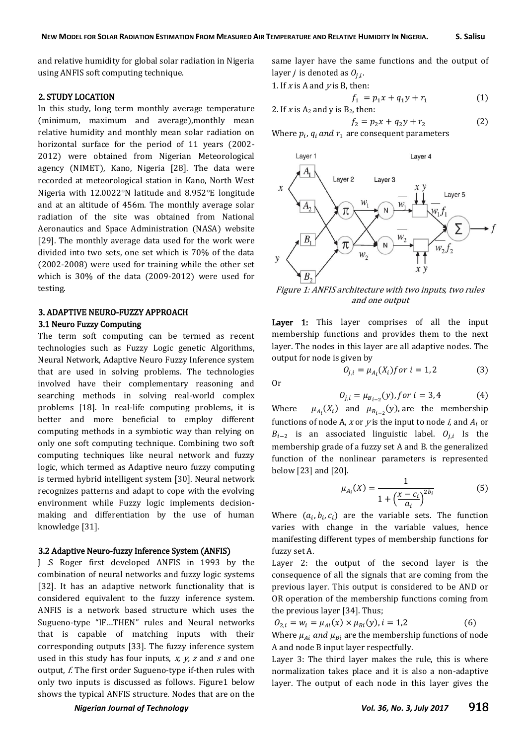and relative humidity for global solar radiation in Nigeria using ANFIS soft computing technique.

### 2. STUDY LOCATION

In this study, long term monthly average temperature (minimum, maximum and average),monthly mean relative humidity and monthly mean solar radiation on horizontal surface for the period of 11 years (2002- 2012) were obtained from Nigerian Meteorological agency (NIMET), Kano, Nigeria [28]. The data were recorded at meteorological station in Kano, North West Nigeria with  $12.0022^{\circ}$ N latitude and  $8.952^{\circ}$ E longitude and at an altitude of 456m. The monthly average solar radiation of the site was obtained from National Aeronautics and Space Administration (NASA) website [29]. The monthly average data used for the work were divided into two sets, one set which is 70% of the data (2002-2008) were used for training while the other set which is 30% of the data (2009-2012) were used for testing.

## 3. ADAPTIVE NEURO-FUZZY APPROACH 3.1 Neuro Fuzzy Computing

The term soft computing can be termed as recent technologies such as Fuzzy Logic genetic Algorithms, Neural Network, Adaptive Neuro Fuzzy Inference system that are used in solving problems. The technologies involved have their complementary reasoning and searching methods in solving real-world complex problems [18]. In real-life computing problems, it is better and more beneficial to employ different computing methods in a symbiotic way than relying on only one soft computing technique. Combining two soft computing techniques like neural network and fuzzy logic, which termed as Adaptive neuro fuzzy computing is termed hybrid intelligent system [30]. Neural network recognizes patterns and adapt to cope with the evolving environment while Fuzzy logic implements decisionmaking and differentiation by the use of human knowledge [31].

#### 3.2 Adaptive Neuro-fuzzy Inference System (ANFIS)

J .S Roger first developed ANFIS in 1993 by the combination of neural networks and fuzzy logic systems [32]. It has an adaptive network functionality that is considered equivalent to the fuzzy inference system. ANFIS is a network based structure which uses the Sugueno-type "IF…THEN" rules and Neural networks that is capable of matching inputs with their corresponding outputs [33]. The fuzzy inference system used in this study has four inputs,  $x$ ,  $y$ ,  $z$  and  $s$  and one output, f. The first order Sugueno-type if-then rules with only two inputs is discussed as follows. Figure1 below shows the typical ANFIS structure. Nodes that are on the

same layer have the same functions and the output of layer *j* is denoted as  $O_{i,i}$ .

1. If x is A and  $v$  is B, then:

$$
f_1 = p_1 x + q_1 y + r_1 \tag{1}
$$

2. If *x* is A<sub>2</sub> and *y* is B<sub>2</sub>, then:  
\n
$$
f_2 = p_2 x + q_2 y + r_2
$$
\n(2)

Where  $p_i$ ,  $q_i$  and  $r_1$  are consequent parameters



Figure 1: ANFIS architecture with two inputs, two rules and one output

Layer 1: This layer comprises of all the input membership functions and provides them to the next layer. The nodes in this layer are all adaptive nodes. The output for node is given by

Or

$$
0_{j,i} = \mu_{A_i}(X_i) \text{ for } i = 1, 2 \tag{3}
$$

$$
O_{j,i} = \mu_{B_{i-2}}(y), \text{ for } i = 3, 4 \tag{4}
$$

Where  $(X_i)$  and  $\mu_{B_{i-2}}(y)$ , are the membership functions of node A, x or y is the input to node  $i$ , and  $A_i$  or  $B_{i-2}$  is an associated linguistic label.  $O_{i,i}$  Is the membership grade of a fuzzy set A and B. the generalized function of the nonlinear parameters is represented below [23] and [20].

$$
\mu_{A_i}(X) = \frac{1}{1 + \left(\frac{x - c_i}{a_i}\right)^{2b_i}}
$$
(5)

Where  $(a_i, b_i, c_i)$  are the variable sets. The function varies with change in the variable values, hence manifesting different types of membership functions for fuzzy set A.

Layer 2: the output of the second layer is the consequence of all the signals that are coming from the previous layer. This output is considered to be AND or OR operation of the membership functions coming from the previous layer [34]. Thus;

$$
O_{2,i} = w_i = \mu_{Ai}(x) \times \mu_{Bi}(y), i = 1,2
$$
 (6)  
Where  $\mu_{Ai}$  and  $\mu_{Bi}$  are the membership functions of node  
A and node B input layer respectively.

Layer 3: The third layer makes the rule, this is where normalization takes place and it is also a non-adaptive layer. The output of each node in this layer gives the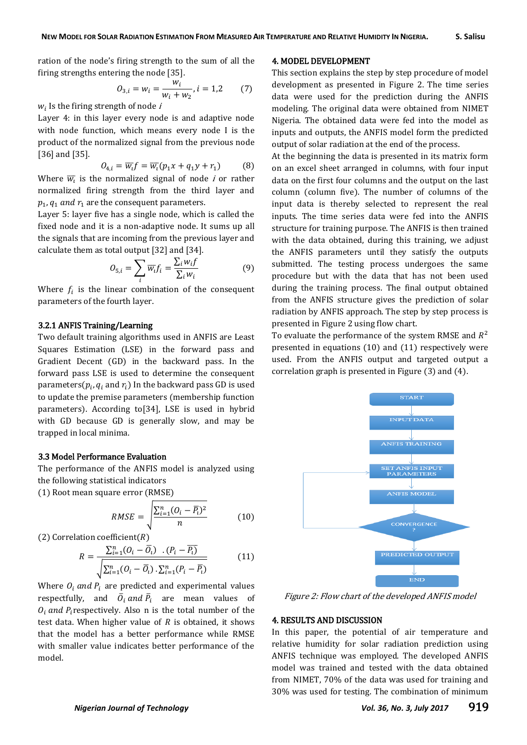ration of the node's firing strength to the sum of all the firing strengths entering the node [35].

$$
O_{3,i} = w_i = \frac{w_i}{w_i + w_2}, i = 1,2 \qquad (7)
$$

 $W<sub>i</sub>$  Is the firing strength of node i

Layer 4: in this layer every node is and adaptive node with node function, which means every node I is the product of the normalized signal from the previous node [36] and [35].

$$
O_{4,i} = \overline{w_i} f = \overline{w_i} (p_1 x + q_1 y + r_1)
$$
 (8)

Where  $\overline{w_i}$  is the normalized signal of node *i* or rather normalized firing strength from the third layer and  $p_1$ ,  $q_1$  and  $r_1$  are the consequent parameters.

Layer 5: layer five has a single node, which is called the fixed node and it is a non-adaptive node. It sums up all the signals that are incoming from the previous layer and calculate them as total output [32] and [34].

$$
O_{5,i} = \sum_{i} \overline{w_i} f_i = \frac{\sum_i w_i f}{\sum_i w_i}
$$
 (9)

Where  $f_i$  is the linear combination of the consequent parameters of the fourth layer.

## 3.2.1 ANFIS Training/Learning

Two default training algorithms used in ANFIS are Least Squares Estimation (LSE) in the forward pass and Gradient Decent (GD) in the backward pass. In the forward pass LSE is used to determine the consequent parameters( $p_i$ ,  $q_i$  and  $r_i$ ) In the backward pass GD is used to update the premise parameters (membership function parameters). According to[34], LSE is used in hybrid with GD because GD is generally slow, and may be trapped in local minima.

#### 3.3 Model Performance Evaluation

The performance of the ANFIS model is analyzed using the following statistical indicators

(1) Root mean square error (RMSE)

$$
RMSE = \sqrt{\frac{\sum_{i=1}^{n} (O_i - \overline{P}_i)^2}{n}}
$$
 (10)

(2) Correlation coefficient( $R$ )

$$
R = \frac{\sum_{i=1}^{n} (O_i - \overline{O}_i) \cdot (P_i - \overline{P_i})}{\sqrt{\sum_{i=1}^{n} (O_i - \overline{O}_i) \cdot \sum_{i=1}^{n} (P_i - \overline{P_i})}}
$$
(11)

Where  $O_i$  and  $P_i$  are predicted and experimental values respectfully, and  $\bar{\mathcal{O}}_i$  and  $\bar{\mathcal{P}}_i$  are mean values of  $O_i$  and P<sub>i</sub>respectively. Also n is the total number of the test data. When higher value of  $R$  is obtained, it shows that the model has a better performance while RMSE with smaller value indicates better performance of the model.

#### 4. MODEL DEVELOPMENT

This section explains the step by step procedure of model development as presented in Figure 2. The time series data were used for the prediction during the ANFIS modeling. The original data were obtained from NIMET Nigeria. The obtained data were fed into the model as inputs and outputs, the ANFIS model form the predicted output of solar radiation at the end of the process.

At the beginning the data is presented in its matrix form on an excel sheet arranged in columns, with four input data on the first four columns and the output on the last column (column five). The number of columns of the input data is thereby selected to represent the real inputs. The time series data were fed into the ANFIS structure for training purpose. The ANFIS is then trained with the data obtained, during this training, we adjust the ANFIS parameters until they satisfy the outputs submitted. The testing process undergoes the same procedure but with the data that has not been used during the training process. The final output obtained from the ANFIS structure gives the prediction of solar radiation by ANFIS approach. The step by step process is presented in Figure 2 using flow chart.

To evaluate the performance of the system RMSE and  $R^2$ presented in equations (10) and (11) respectively were used. From the ANFIS output and targeted output a correlation graph is presented in Figure (3) and (4).



Figure 2: Flow chart of the developed ANFIS model

### 4. RESULTS AND DISCUSSION

In this paper, the potential of air temperature and relative humidity for solar radiation prediction using ANFIS technique was employed. The developed ANFIS model was trained and tested with the data obtained from NIMET, 70% of the data was used for training and 30% was used for testing. The combination of minimum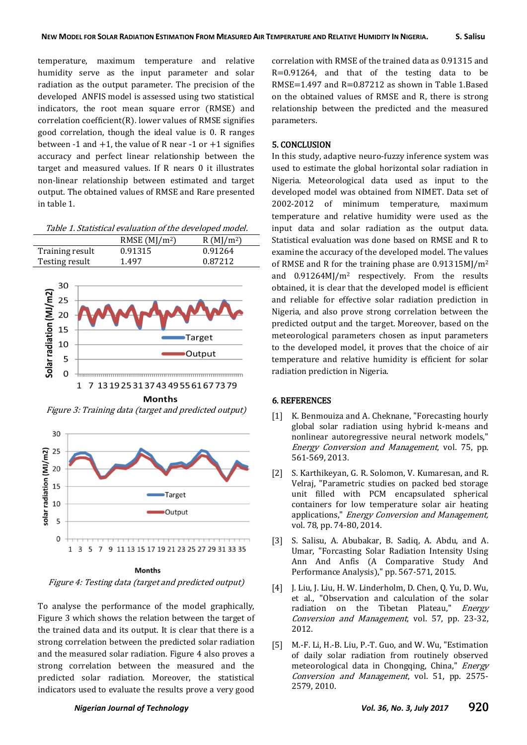temperature, maximum temperature and relative humidity serve as the input parameter and solar radiation as the output parameter. The precision of the developed ANFIS model is assessed using two statistical indicators, the root mean square error (RMSE) and correlation coefficient(R). lower values of RMSE signifies good correlation, though the ideal value is 0. R ranges between -1 and  $+1$ , the value of R near -1 or  $+1$  signifies accuracy and perfect linear relationship between the target and measured values. If R nears 0 it illustrates non-linear relationship between estimated and target output. The obtained values of RMSE and Rare presented in table 1.

|  |  | Table 1. Statistical evaluation of the developed model. |  |  |  |  |  |  |  |  |
|--|--|---------------------------------------------------------|--|--|--|--|--|--|--|--|
|--|--|---------------------------------------------------------|--|--|--|--|--|--|--|--|

|                 | RMSE $(MJ/m2)$ | R(MI/m <sup>2</sup> ) |
|-----------------|----------------|-----------------------|
| Training result | 0.91315        | 0.91264               |
| Testing result  | 1.497          | 0.87212               |



Figure 3: Training data (target and predicted output)



#### **Months**

Figure 4: Testing data (target and predicted output)

To analyse the performance of the model graphically, Figure 3 which shows the relation between the target of the trained data and its output. It is clear that there is a strong correlation between the predicted solar radiation and the measured solar radiation. Figure 4 also proves a strong correlation between the measured and the predicted solar radiation. Moreover, the statistical indicators used to evaluate the results prove a very good

correlation with RMSE of the trained data as 0.91315 and R=0.91264, and that of the testing data to be RMSE=1.497 and R=0.87212 as shown in Table 1.Based on the obtained values of RMSE and R, there is strong relationship between the predicted and the measured parameters.

## 5. CONCLUSION

In this study, adaptive neuro-fuzzy inference system was used to estimate the global horizontal solar radiation in Nigeria. Meteorological data used as input to the developed model was obtained from NIMET. Data set of 2002-2012 of minimum temperature, maximum temperature and relative humidity were used as the input data and solar radiation as the output data. Statistical evaluation was done based on RMSE and R to examine the accuracy of the developed model. The values of RMSE and R for the training phase are 0.91315MJ/m<sup>2</sup> and 0.91264MJ/m<sup>2</sup> respectively. From the results obtained, it is clear that the developed model is efficient and reliable for effective solar radiation prediction in Nigeria, and also prove strong correlation between the predicted output and the target. Moreover, based on the meteorological parameters chosen as input parameters to the developed model, it proves that the choice of air temperature and relative humidity is efficient for solar radiation prediction in Nigeria.

#### 6. REFERENCES

- [1] K. Benmouiza and A. Cheknane, "Forecasting hourly global solar radiation using hybrid k-means and nonlinear autoregressive neural network models," Energy Conversion and Management, vol. 75, pp. 561-569, 2013.
- [2] S. Karthikeyan, G. R. Solomon, V. Kumaresan, and R. Velraj, "Parametric studies on packed bed storage unit filled with PCM encapsulated spherical containers for low temperature solar air heating applications," Energy Conversion and Management, vol. 78, pp. 74-80, 2014.
- [3] S. Salisu, A. Abubakar, B. Sadiq, A. Abdu, and A. Umar, "Forcasting Solar Radiation Intensity Using Ann And Anfis (A Comparative Study And Performance Analysis)," pp. 567-571, 2015.
- [4] J. Liu, J. Liu, H. W. Linderholm, D. Chen, Q. Yu, D. Wu, et al., "Observation and calculation of the solar radiation on the Tibetan Plateau," *Energy* Conversion and Management, vol. 57, pp. 23-32, 2012.
- [5] M.-F. Li, H.-B. Liu, P.-T. Guo, and W. Wu, "Estimation of daily solar radiation from routinely observed meteorological data in Chongqing, China," Energy Conversion and Management, vol. 51, pp. 2575- 2579, 2010.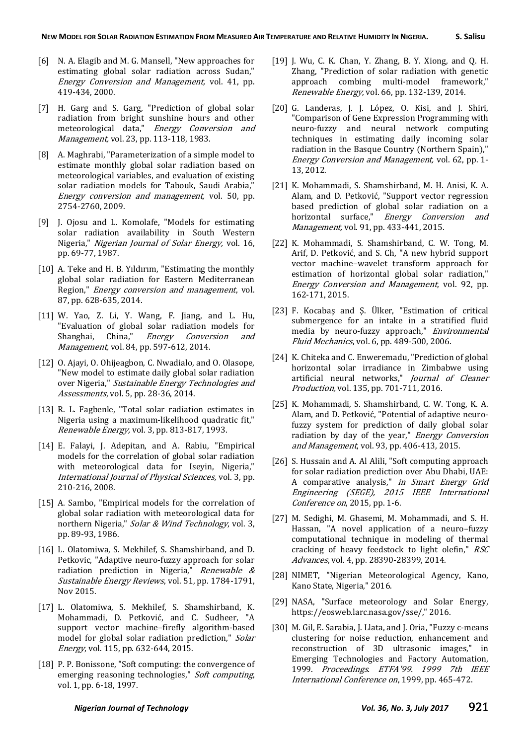- [6] N. A. Elagib and M. G. Mansell, "New approaches for estimating global solar radiation across Sudan," Energy Conversion and Management, vol. 41, pp. 419-434, 2000.
- [7] H. Garg and S. Garg, "Prediction of global solar radiation from bright sunshine hours and other meteorological data," Energy Conversion and Management, vol. 23, pp. 113-118, 1983.
- [8] A. Maghrabi, "Parameterization of a simple model to estimate monthly global solar radiation based on meteorological variables, and evaluation of existing solar radiation models for Tabouk, Saudi Arabia," Energy conversion and management, vol. 50, pp. 2754-2760, 2009.
- [9] J. Ojosu and L. Komolafe, "Models for estimating solar radiation availability in South Western Nigeria," Nigerian Journal of Solar Energy, vol. 16, pp. 69-77, 1987.
- [10] A. Teke and H. B. Yıldırım, "Estimating the monthly global solar radiation for Eastern Mediterranean Region," Energy conversion and management, vol. 87, pp. 628-635, 2014.
- [11] W. Yao, Z. Li, Y. Wang, F. Jiang, and L. Hu, "Evaluation of global solar radiation models for<br>Shanghai, China," Energy Conversion and Energy Conversion and Management, vol. 84, pp. 597-612, 2014.
- [12] O. Ajayi, O. Ohijeagbon, C. Nwadialo, and O. Olasope, "New model to estimate daily global solar radiation over Nigeria," Sustainable Energy Technologies and Assessments, vol. 5, pp. 28-36, 2014.
- [13] R. L. Fagbenle, "Total solar radiation estimates in Nigeria using a maximum-likelihood quadratic fit," Renewable Energy, vol. 3, pp. 813-817, 1993.
- [14] E. Falayi, J. Adepitan, and A. Rabiu, "Empirical models for the correlation of global solar radiation with meteorological data for Iseyin, Nigeria," International Journal of Physical Sciences, vol. 3, pp. 210-216, 2008.
- [15] A. Sambo, "Empirical models for the correlation of global solar radiation with meteorological data for northern Nigeria," Solar & Wind Technology, vol. 3, pp. 89-93, 1986.
- [16] L. Olatomiwa, S. Mekhilef, S. Shamshirband, and D. Petkovic, "Adaptive neuro-fuzzy approach for solar radiation prediction in Nigeria," Renewable  $\&$ Sustainable Energy Reviews, vol. 51, pp. 1784-1791, Nov 2015.
- [17] L. Olatomiwa, S. Mekhilef, S. Shamshirband, K. Mohammadi, D. Petković, and C. Sudheer, "A support vector machine–firefly algorithm-based model for global solar radiation prediction," Solar Energy, vol. 115, pp. 632-644, 2015.
- [18] P. P. Bonissone, "Soft computing: the convergence of emerging reasoning technologies," Soft computing, vol. 1, pp. 6-18, 1997.
- [19] J. Wu, C. K. Chan, Y. Zhang, B. Y. Xiong, and Q. H. Zhang, "Prediction of solar radiation with genetic approach combing multi-model framework," Renewable Energy, vol. 66, pp. 132-139, 2014.
- [20] G. Landeras, J. J. López, O. Kisi, and J. Shiri, "Comparison of Gene Expression Programming with neuro-fuzzy and neural network computing techniques in estimating daily incoming solar radiation in the Basque Country (Northern Spain)," Energy Conversion and Management, vol. 62, pp. 1- 13, 2012.
- [21] K. Mohammadi, S. Shamshirband, M. H. Anisi, K. A. Alam, and D. Petković, "Support vector regression based prediction of global solar radiation on a horizontal surface," Energy Conversion and Management, vol. 91, pp. 433-441, 2015.
- [22] K. Mohammadi, S. Shamshirband, C. W. Tong, M. Arif, D. Petković, and S. Ch, "A new hybrid support vector machine–wavelet transform approach for estimation of horizontal global solar radiation," Energy Conversion and Management, vol. 92, pp. 162-171, 2015.
- [23] F. Kocabaş and Ş. Ülker, "Estimation of critical submergence for an intake in a stratified fluid media by neuro-fuzzy approach," Environmental Fluid Mechanics, vol. 6, pp. 489-500, 2006.
- [24] K. Chiteka and C. Enweremadu, "Prediction of global horizontal solar irradiance in Zimbabwe using artificial neural networks," Journal of Cleaner Production, vol. 135, pp. 701-711, 2016.
- [25] K. Mohammadi, S. Shamshirband, C. W. Tong, K. A. Alam, and D. Petković. "Potential of adaptive neurofuzzy system for prediction of daily global solar radiation by day of the year," Energy Conversion and Management, vol. 93, pp. 406-413, 2015.
- [26] S. Hussain and A. Al Alili, "Soft computing approach for solar radiation prediction over Abu Dhabi, UAE: A comparative analysis," in Smart Energy Grid Engineering (SEGE), 2015 IEEE International Conference on, 2015, pp. 1-6.
- [27] M. Sedighi, M. Ghasemi, M. Mohammadi, and S. H. Hassan, "A novel application of a neuro–fuzzy computational technique in modeling of thermal cracking of heavy feedstock to light olefin," RSC Advances, vol. 4, pp. 28390-28399, 2014.
- [28] NIMET, "Nigerian Meteorological Agency, Kano, Kano State, Nigeria," 2016.
- [29] NASA, "Surface meteorology and Solar Energy, https://eosweb.larc.nasa.gov/sse/," 2016.
- [30] M. Gil, E. Sarabia, J. Llata, and J. Oria, "Fuzzy c-means clustering for noise reduction, enhancement and reconstruction of 3D ultrasonic images," in Emerging Technologies and Factory Automation, 1999. Proceedings. ETFA'99. 1999 7th IEEE International Conference on, 1999, pp. 465-472.